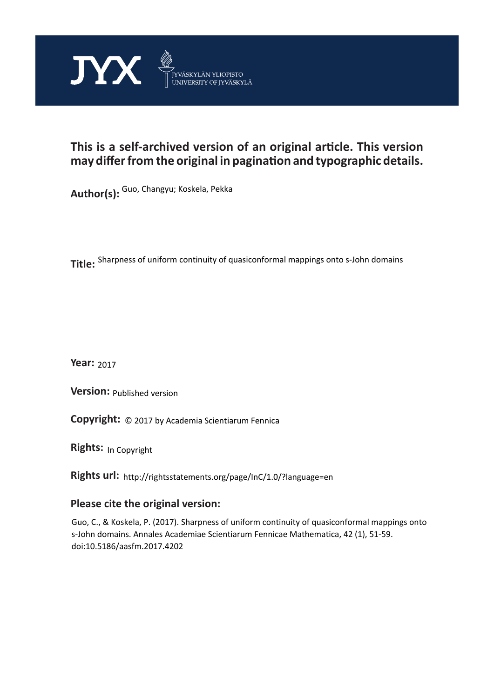

# **This is a self-archived version of an original article. This version may differ from the original in pagination and typographic details.**

**Author(s):**  Guo, Changyu; Koskela, Pekka

**Title:**  Sharpness of uniform continuity of quasiconformal mappings onto s-John domains

**Year:**  2017

**Version: Published version** 

**Version:** Published version<br>**Copyright:** © 2017 by Academia Scientiarum Fennica

**Rights:** In Copyright

**Rights url:**  http://rightsstatements.org/page/InC/1.0/?language=en

### **Please cite the original version:**

Guo, C., & Koskela, P. (2017). Sharpness of uniform continuity of quasiconformal mappings onto s-John domains. Annales Academiae Scientiarum Fennicae Mathematica, 42 (1), 51-59. doi:10.5186/aasfm.2017.4202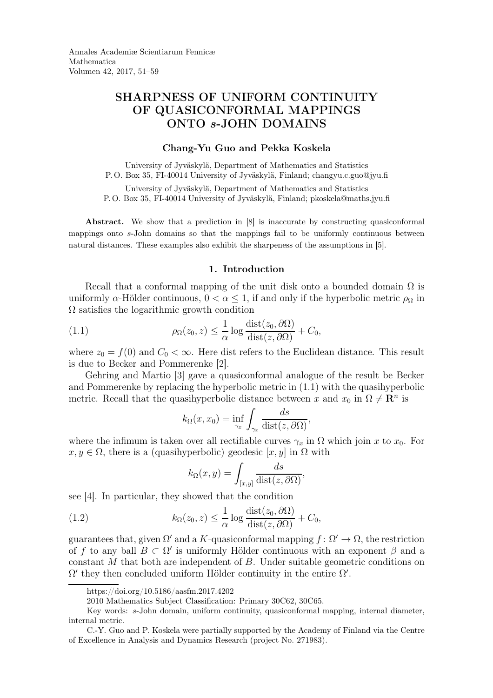## SHARPNESS OF UNIFORM CONTINUITY OF QUASICONFORMAL MAPPINGS ONTO s-JOHN DOMAINS

#### Chang-Yu Guo and Pekka Koskela

University of Jyväskylä, Department of Mathematics and Statistics P. O. Box 35, FI-40014 University of Jyväskylä, Finland; changyu.c.guo@jyu.fi

University of Jyväskylä, Department of Mathematics and Statistics P. O. Box 35, FI-40014 University of Jyväskylä, Finland; pkoskela@maths.jyu.fi

Abstract. We show that a prediction in [8] is inaccurate by constructing quasiconformal mappings onto s-John domains so that the mappings fail to be uniformly continuous between natural distances. These examples also exhibit the sharpeness of the assumptions in [5].

#### 1. Introduction

Recall that a conformal mapping of the unit disk onto a bounded domain  $\Omega$  is uniformly  $\alpha$ -Hölder continuous,  $0 < \alpha \leq 1$ , if and only if the hyperbolic metric  $\rho_{\Omega}$  in  $\Omega$  satisfies the logarithmic growth condition

(1.1) 
$$
\rho_{\Omega}(z_0, z) \leq \frac{1}{\alpha} \log \frac{\text{dist}(z_0, \partial \Omega)}{\text{dist}(z, \partial \Omega)} + C_0,
$$

where  $z_0 = f(0)$  and  $C_0 < \infty$ . Here dist refers to the Euclidean distance. This result is due to Becker and Pommerenke [2].

Gehring and Martio [3] gave a quasiconformal analogue of the result be Becker and Pommerenke by replacing the hyperbolic metric in (1.1) with the quasihyperbolic metric. Recall that the quasihyperbolic distance between x and  $x_0$  in  $\Omega \neq \mathbb{R}^n$  is

$$
k_{\Omega}(x, x_0) = \inf_{\gamma_x} \int_{\gamma_x} \frac{ds}{\text{dist}(z, \partial \Omega)},
$$

where the infimum is taken over all rectifiable curves  $\gamma_x$  in  $\Omega$  which join x to  $x_0$ . For  $x, y \in \Omega$ , there is a (quasihyperbolic) geodesic  $[x, y]$  in  $\Omega$  with

$$
k_{\Omega}(x,y) = \int_{[x,y]} \frac{ds}{\text{dist}(z,\partial\Omega)},
$$

see [4]. In particular, they showed that the condition

(1.2) 
$$
k_{\Omega}(z_0, z) \leq \frac{1}{\alpha} \log \frac{\text{dist}(z_0, \partial \Omega)}{\text{dist}(z, \partial \Omega)} + C_0,
$$

guarantees that, given  $\Omega'$  and a K-quasiconformal mapping  $f: \Omega' \to \Omega$ , the restriction of f to any ball  $B \subset \Omega'$  is uniformly Hölder continuous with an exponent  $\beta$  and a constant M that both are independent of B. Under suitable geometric conditions on  $\Omega'$  they then concluded uniform Hölder continuity in the entire  $\Omega'$ .

https://doi.org/10.5186/aasfm.2017.4202

<sup>2010</sup> Mathematics Subject Classification: Primary 30C62, 30C65.

Key words: s-John domain, uniform continuity, quasiconformal mapping, internal diameter, internal metric.

C.-Y. Guo and P. Koskela were partially supported by the Academy of Finland via the Centre of Excellence in Analysis and Dynamics Research (project No. 271983).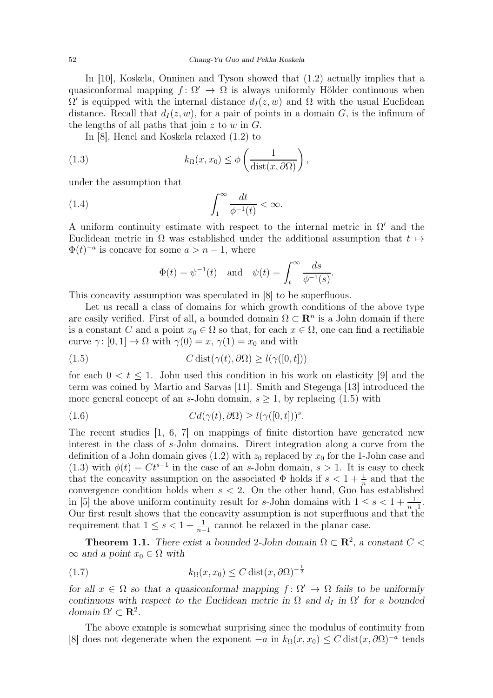In [10], Koskela, Onninen and Tyson showed that (1.2) actually implies that a quasiconformal mapping  $f: \Omega' \to \Omega$  is always uniformly Hölder continuous when  $\Omega'$  is equipped with the internal distance  $d_I(z, w)$  and  $\Omega$  with the usual Euclidean distance. Recall that  $d_I(z, w)$ , for a pair of points in a domain G, is the infimum of the lengths of all paths that join z to  $w$  in  $G$ .

In [8], Hencl and Koskela relaxed (1.2) to

(1.3) 
$$
k_{\Omega}(x,x_0) \leq \phi\left(\frac{1}{\text{dist}(x,\partial\Omega)}\right),
$$

under the assumption that

(1.4) 
$$
\int_{1}^{\infty} \frac{dt}{\phi^{-1}(t)} < \infty.
$$

A uniform continuity estimate with respect to the internal metric in  $\Omega'$  and the Euclidean metric in  $\Omega$  was established under the additional assumption that  $t \mapsto$  $\Phi(t)^{-a}$  is concave for some  $a > n - 1$ , where

$$
\Phi(t) = \psi^{-1}(t) \quad \text{and} \quad \psi(t) = \int_t^\infty \frac{ds}{\phi^{-1}(s)}.
$$

This concavity assumption was speculated in [8] to be superfluous.

Let us recall a class of domains for which growth conditions of the above type are easily verified. First of all, a bounded domain  $\Omega \subset \mathbb{R}^n$  is a John domain if there is a constant C and a point  $x_0 \in \Omega$  so that, for each  $x \in \Omega$ , one can find a rectifiable curve  $\gamma: [0, 1] \to \Omega$  with  $\gamma(0) = x$ ,  $\gamma(1) = x_0$  and with

(1.5) 
$$
C \operatorname{dist}(\gamma(t), \partial \Omega) \ge l(\gamma([0, t]))
$$

for each  $0 < t \leq 1$ . John used this condition in his work on elasticity [9] and the term was coined by Martio and Sarvas [11]. Smith and Stegenga [13] introduced the more general concept of an s-John domain,  $s \geq 1$ , by replacing (1.5) with

(1.6) 
$$
Cd(\gamma(t),\partial\Omega) \ge l(\gamma([0,t]))^s.
$$

The recent studies [1, 6, 7] on mappings of finite distortion have generated new interest in the class of s-John domains. Direct integration along a curve from the definition of a John domain gives (1.2) with  $z_0$  replaced by  $x_0$  for the 1-John case and (1.3) with  $\phi(t) = Ct^{s-1}$  in the case of an s-John domain,  $s > 1$ . It is easy to check that the concavity assumption on the associated  $\Phi$  holds if  $s < 1 + \frac{1}{n}$  and that the convergence condition holds when  $s < 2$ . On the other hand, Guo has established in [5] the above uniform continuity result for s-John domains with  $1 \leq s < 1 + \frac{1}{n-1}$ . Our first result shows that the concavity assumption is not superfluous and that the requirement that  $1 \leq s < 1 + \frac{1}{n-1}$  cannot be relaxed in the planar case.

**Theorem 1.1.** There exist a bounded 2-John domain  $\Omega \subset \mathbb{R}^2$ , a constant  $C$  <  $\infty$  and a point  $x_0 \in \Omega$  with

$$
(1.7) \t\t k_{\Omega}(x, x_0) \le C \operatorname{dist}(x, \partial \Omega)^{-\frac{1}{2}}
$$

for all  $x \in \Omega$  so that a quasiconformal mapping  $f: \Omega' \to \Omega$  fails to be uniformly continuous with respect to the Euclidean metric in  $\Omega$  and  $d_I$  in  $\Omega'$  for a bounded domain  $\Omega' \subset \mathbf{R}^2$ .

The above example is somewhat surprising since the modulus of continuity from [8] does not degenerate when the exponent  $-a$  in  $k_{\Omega}(x, x_0) \leq C \text{dist}(x, \partial \Omega)^{-a}$  tends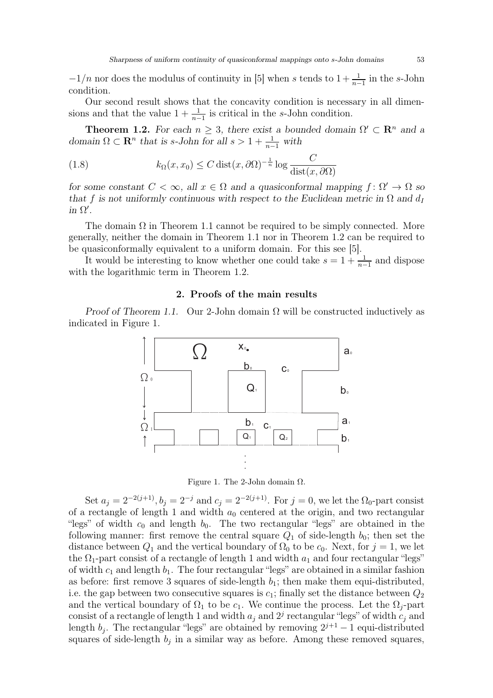$-1/n$  nor does the modulus of continuity in [5] when s tends to  $1+\frac{1}{n-1}$  in the s-John condition.

Our second result shows that the concavity condition is necessary in all dimensions and that the value  $1 + \frac{1}{n-1}$  is critical in the s-John condition.

**Theorem 1.2.** For each  $n \geq 3$ , there exist a bounded domain  $\Omega' \subset \mathbb{R}^n$  and a domain  $\Omega \subset \mathbf{R}^n$  that is s-John for all  $s > 1 + \frac{1}{n-1}$  with

(1.8) 
$$
k_{\Omega}(x, x_0) \leq C \operatorname{dist}(x, \partial \Omega)^{-\frac{1}{n}} \log \frac{C}{\operatorname{dist}(x, \partial \Omega)}
$$

for some constant  $C < \infty$ , all  $x \in \Omega$  and a quasiconformal mapping  $f: \Omega' \to \Omega$  so that f is not uniformly continuous with respect to the Euclidean metric in  $\Omega$  and  $d_I$ in  $\Omega'$ .

The domain  $\Omega$  in Theorem 1.1 cannot be required to be simply connected. More generally, neither the domain in Theorem 1.1 nor in Theorem 1.2 can be required to be quasiconformally equivalent to a uniform domain. For this see [5].

It would be interesting to know whether one could take  $s = 1 + \frac{1}{n-1}$  and dispose with the logarithmic term in Theorem 1.2.

#### 2. Proofs of the main results

Proof of Theorem 1.1. Our 2-John domain  $\Omega$  will be constructed inductively as indicated in Figure 1.



Figure 1. The 2-John domain  $\Omega$ .

Set  $a_j = 2^{-2(j+1)}$ ,  $b_j = 2^{-j}$  and  $c_j = 2^{-2(j+1)}$ . For  $j = 0$ , we let the  $\Omega_0$ -part consist of a rectangle of length 1 and width  $a_0$  centered at the origin, and two rectangular "legs" of width  $c_0$  and length  $b_0$ . The two rectangular "legs" are obtained in the following manner: first remove the central square  $Q_1$  of side-length  $b_0$ ; then set the distance between  $Q_1$  and the vertical boundary of  $\Omega_0$  to be  $c_0$ . Next, for  $j = 1$ , we let the  $\Omega_1$ -part consist of a rectangle of length 1 and width  $a_1$  and four rectangular "legs" of width  $c_1$  and length  $b_1$ . The four rectangular "legs" are obtained in a similar fashion as before: first remove 3 squares of side-length  $b_1$ ; then make them equi-distributed, i.e. the gap between two consecutive squares is  $c_1$ ; finally set the distance between  $Q_2$ and the vertical boundary of  $\Omega_1$  to be  $c_1$ . We continue the process. Let the  $\Omega_i$ -part consist of a rectangle of length 1 and width  $a_j$  and  $2^j$  rectangular "legs" of width  $c_j$  and length  $b_j$ . The rectangular "legs" are obtained by removing  $2^{j+1} - 1$  equi-distributed squares of side-length  $b_j$  in a similar way as before. Among these removed squares,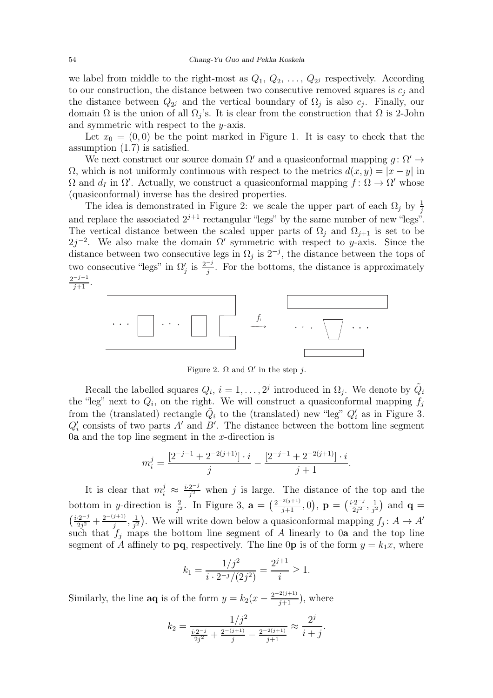we label from middle to the right-most as  $Q_1, Q_2, \ldots, Q_{2^j}$  respectively. According to our construction, the distance between two consecutive removed squares is  $c_i$  and the distance between  $Q_{2^j}$  and the vertical boundary of  $\Omega_j$  is also  $c_j$ . Finally, our domain  $\Omega$  is the union of all  $\Omega_j$ 's. It is clear from the construction that  $\Omega$  is 2-John and symmetric with respect to the y-axis.

Let  $x_0 = (0, 0)$  be the point marked in Figure 1. It is easy to check that the assumption (1.7) is satisfied.

We next construct our source domain  $\Omega'$  and a quasiconformal mapping  $g: \Omega' \to$  $Ω$ , which is not uniformly continuous with respect to the metrics  $d(x, y) = |x - y|$  in  $\Omega$  and  $d_I$  in  $\Omega'$ . Actually, we construct a quasiconformal mapping  $f: \Omega \to \Omega'$  whose (quasiconformal) inverse has the desired properties.

The idea is demonstrated in Figure 2: we scale the upper part of each  $\Omega_j$  by  $\frac{1}{j}$ and replace the associated  $2^{j+1}$  rectangular "legs" by the same number of new "legs". The vertical distance between the scaled upper parts of  $\Omega_i$  and  $\Omega_{i+1}$  is set to be  $2j^{-2}$ . We also make the domain  $\Omega'$  symmetric with respect to y-axis. Since the distance between two consecutive legs in  $\Omega_j$  is  $2^{-j}$ , the distance between the tops of two consecutive "legs" in  $\Omega'$  $j$  is  $\frac{2^{-j}}{j}$ . For the bottoms, the distance is approximately  $\frac{2^{-j-1}}{j+1}$ .



Figure 2.  $\Omega$  and  $\Omega'$  in the step j.

Recall the labelled squares  $Q_i$ ,  $i = 1, ..., 2^j$  introduced in  $\Omega_j$ . We denote by  $\tilde{Q}_i$ the "leg" next to  $Q_i$ , on the right. We will construct a quasiconformal mapping  $f_j$ from the (translated) rectangle  $\tilde{Q}_i$  to the (translated) new "leg"  $Q'_i$  as in Figure 3.  $Q'_{i}$  consists of two parts A' and B'. The distance between the bottom line segment 0**a** and the top line segment in the x-direction is

$$
m_i^j = \frac{[2^{-j-1} + 2^{-2(j+1)}] \cdot i}{j} - \frac{[2^{-j-1} + 2^{-2(j+1)}] \cdot i}{j+1}.
$$

It is clear that  $m_i^j \approx \frac{i \cdot 2^{-j}}{i^2}$  $\frac{2^{j}}{j^2}$  when j is large. The distance of the top and the bottom in *y*-direction is  $\frac{2}{j^2}$ . In Figure 3,  $\mathbf{a} = (\frac{2^{-2(j+1)}}{j+1}, 0)$ ,  $\mathbf{p} = (\frac{i \cdot 2^{-j}}{2j^2})$  $\frac{1}{2j^2}, \frac{1}{j^2}$  $\frac{1}{j^2}$  and  $\mathbf{q} =$  $\left(\frac{i\cdot2^{-j}}{2i^2}\right)$  $\frac{2^{j-2}}{2j^2} + \frac{2^{-(j+1)}}{j}$  $\frac{j+1j}{j}, \frac{1}{j^2}$  $\frac{1}{j^2}$ ). We will write down below a quasiconformal mapping  $f_j: A \to A'$ such that  $f_j$  maps the bottom line segment of A linearly to 0a and the top line segment of A affinely to **pq**, respectively. The line 0**p** is of the form  $y = k_1x$ , where

$$
k_1 = \frac{1/j^2}{i \cdot 2^{-j}/(2j^2)} = \frac{2^{j+1}}{i} \ge 1.
$$

Similarly, the line **aq** is of the form  $y = k_2(x - \frac{2^{-2(j+1)}}{j+1})$ , where

$$
k_2 = \frac{1/j^2}{\frac{i \cdot 2^{-j}}{2j^2} + \frac{2^{-(j+1)}}{j} - \frac{2^{-2(j+1)}}{j+1}} \approx \frac{2^j}{i+j}.
$$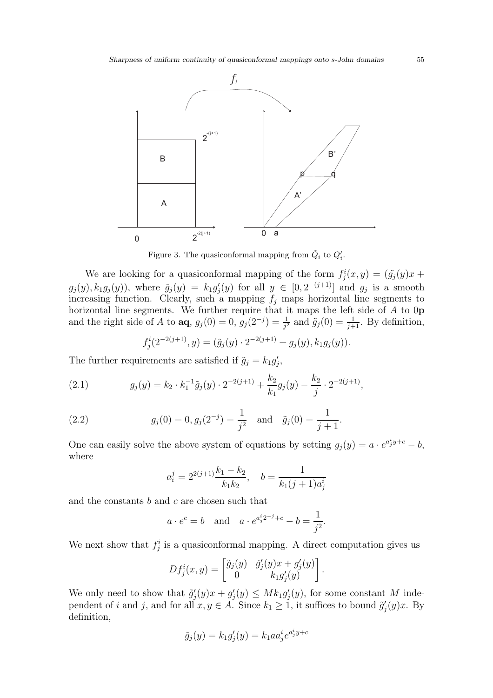

Figure 3. The quasiconformal mapping from  $\tilde{Q}_i$  to  $Q'_i$ .

We are looking for a quasiconformal mapping of the form  $f_j^i(x, y) = (\tilde{g}_j(y)x +$  $g_j(y), k_1 g_j(y)$ , where  $\tilde{g}_j(y) = k_1 g'_j$  $y'_j(y)$  for all  $y \in [0, 2^{-(j+1)}]$  and  $g_j$  is a smooth increasing function. Clearly, such a mapping  $f_j$  maps horizontal line segments to horizontal line segments. We further require that it maps the left side of A to 0p and the right side of A to  $\mathbf{aq}, g_j(0) = 0, g_j(2^{-j}) = \frac{1}{j^2}$  and  $\tilde{g}_j(0) = \frac{1}{j+1}$ . By definition,

$$
f_j^i(2^{-2(j+1)}, y) = (\tilde{g}_j(y) \cdot 2^{-2(j+1)} + g_j(y), k_1 g_j(y)).
$$

The further requirements are satisfied if  $\tilde{g}_j = k_1 g'_j$ ,<br>j,

(2.1) 
$$
g_j(y) = k_2 \cdot k_1^{-1} \tilde{g}_j(y) \cdot 2^{-2(j+1)} + \frac{k_2}{k_1} g_j(y) - \frac{k_2}{j} \cdot 2^{-2(j+1)},
$$

(2.2) 
$$
g_j(0) = 0, g_j(2^{-j}) = \frac{1}{j^2}
$$
 and  $\tilde{g}_j(0) = \frac{1}{j+1}$ .

One can easily solve the above system of equations by setting  $g_j(y) = a \cdot e^{a_j^i y + c} - b$ , where

$$
a_i^j = 2^{2(j+1)} \frac{k_1 - k_2}{k_1 k_2}, \quad b = \frac{1}{k_1 (j+1) a_j^i}
$$

and the constants  $b$  and  $c$  are chosen such that

$$
a \cdot e^c = b
$$
 and  $a \cdot e^{a_j^i 2^{-j} + c} - b = \frac{1}{j^2}$ .

We next show that  $f_j^i$  is a quasiconformal mapping. A direct computation gives us

$$
Df_j^i(x,y) = \begin{bmatrix} \tilde{g}_j(y) & \tilde{g}'_j(y)x + g'_j(y) \\ 0 & k_1g'_j(y) \end{bmatrix}.
$$

We only need to show that  $\tilde{g}'_i$  $j'_j(y)x+g'_j$  $j'_j(y) \leq Mk_1 g'_j$  $'_{j}(y)$ , for some constant M independent of i and j, and for all  $x, y \in A$ . Since  $k_1 \geq 1$ , it suffices to bound  $\tilde{g}'_j$  $j'(y)x$ . By definition,

$$
\tilde{g}_j(y) = k_1 g'_j(y) = k_1 a a_j^i e^{a_j^i y + c}
$$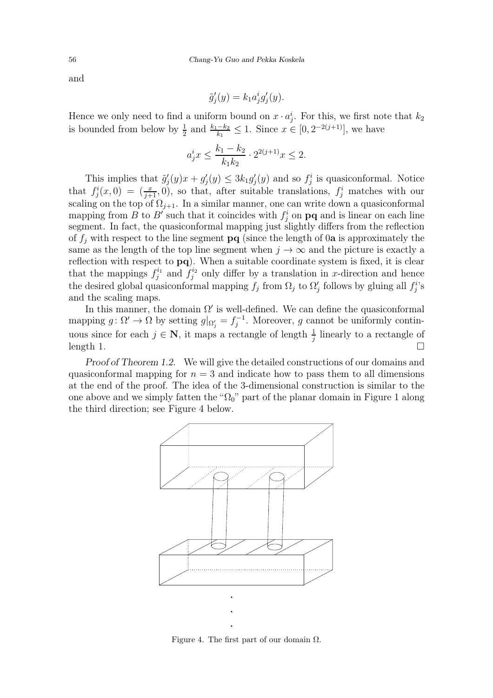and

$$
\tilde{g}'_j(y) = k_1 a^i_j g'_j(y).
$$

Hence we only need to find a uniform bound on  $x \cdot a_j^i$ . For this, we first note that  $k_2$ is bounded from below by  $\frac{1}{2}$  and  $\frac{k_1-k_2}{k_1} \leq 1$ . Since  $x \in [0, 2^{-2(j+1)}]$ , we have

$$
a_j^ix\leq \frac{k_1-k_2}{k_1k_2}\cdot 2^{2(j+1)}x\leq 2.
$$

This implies that  $\tilde{g}'_i$  $j'_j(y)x + g'_j$  $j'_j(y) \leq 3k_1g'_j$  $j(y)$  and so  $f_j^i$  is quasiconformal. Notice that  $f_j^i(x,0) = \left(\frac{x}{j+1},0\right)$ , so that, after suitable translations,  $f_j^i$  matches with our scaling on the top of  $\Omega_{j+1}$ . In a similar manner, one can write down a quasiconformal mapping from  $B$  to  $B'$  such that it coincides with  $f_j^i$  on  $pq$  and is linear on each line segment. In fact, the quasiconformal mapping just slightly differs from the reflection of  $f_j$  with respect to the line segment  $\mathbf{p}q$  (since the length of 0a is approximately the same as the length of the top line segment when  $j \to \infty$  and the picture is exactly a reflection with respect to  $pq$ ). When a suitable coordinate system is fixed, it is clear that the mappings  $f_j^{i_1}$  and  $f_j^{i_2}$  only differ by a translation in x-direction and hence the desired global quasiconformal mapping  $f_j$  from  $\Omega_j$  to  $\Omega'_j$  $'_{j}$  follows by gluing all  $f_{j}^{i}$ 's and the scaling maps.

In this manner, the domain  $\Omega'$  is well-defined. We can define the quasiconformal mapping  $g: \Omega' \to \Omega$  by setting  $g|_{\Omega'_{j}} = f_{j}^{-1}$ . Moreover, g cannot be uniformly continuous since for each  $j \in \mathbb{N}$ , it maps a rectangle of length  $\frac{1}{j}$  linearly to a rectangle of  $\Box$  length 1.

Proof of Theorem 1.2. We will give the detailed constructions of our domains and quasiconformal mapping for  $n = 3$  and indicate how to pass them to all dimensions at the end of the proof. The idea of the 3-dimensional construction is similar to the one above and we simply fatten the " $\Omega_0$ " part of the planar domain in Figure 1 along the third direction; see Figure 4 below.



Figure 4. The first part of our domain  $\Omega$ .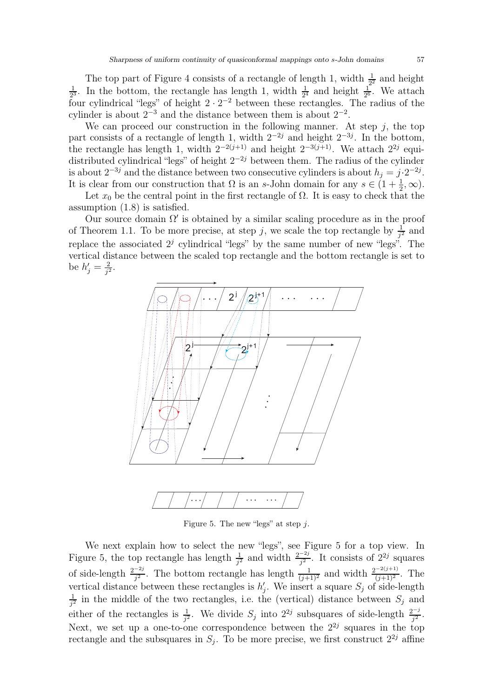The top part of Figure 4 consists of a rectangle of length 1, width  $\frac{1}{2^2}$  and height 1  $\frac{1}{2^3}$ . In the bottom, the rectangle has length 1, width  $\frac{1}{2^4}$  and height  $\frac{1}{2^6}$ . We attach four cylindrical "legs" of height  $2 \cdot 2^{-2}$  between these rectangles. The radius of the cylinder is about  $2^{-3}$  and the distance between them is about  $2^{-2}$ .

We can proceed our construction in the following manner. At step  $j$ , the top part consists of a rectangle of length 1, width  $2^{-2j}$  and height  $2^{-3j}$ . In the bottom, the rectangle has length 1, width  $2^{-2(j+1)}$  and height  $2^{-3(j+1)}$ . We attach  $2^{2j}$  equidistributed cylindrical "legs" of height  $2^{-2j}$  between them. The radius of the cylinder is about  $2^{-3j}$  and the distance between two consecutive cylinders is about  $h_j = j \cdot 2^{-2j}$ . It is clear from our construction that  $\Omega$  is an s-John domain for any  $s \in (1 + \frac{1}{2}, \infty)$ .

Let  $x_0$  be the central point in the first rectangle of  $\Omega$ . It is easy to check that the assumption (1.8) is satisfied.

Our source domain  $\Omega'$  is obtained by a similar scaling procedure as in the proof of Theorem 1.1. To be more precise, at step j, we scale the top rectangle by  $\frac{1}{j^2}$  and replace the associated  $2<sup>j</sup>$  cylindrical "legs" by the same number of new "legs". The vertical distance between the scaled top rectangle and the bottom rectangle is set to be  $h'_j = \frac{2}{i^2}$  $\frac{2}{j^2}$ .



Figure 5. The new "legs" at step  $i$ .

We next explain how to select the new "legs", see Figure 5 for a top view. In Figure 5, the top rectangle has length  $\frac{1}{j^2}$  and width  $\frac{2^{-2j}}{j^2}$  $\frac{-2j}{j^2}$ . It consists of  $2^{2j}$  squares of side-length  $\frac{2^{-2j}}{j^2}$ . The bottom rectangle has length  $\frac{1}{(j+1)^2}$  and width  $\frac{2^{-2(j+1)}}{(j+1)^2}$ . The vertical distance between these rectangles is  $h'_i$  $'_{j}$ . We insert a square  $S_{j}$  of side-length 1  $\frac{1}{j^2}$  in the middle of the two rectangles, i.e. the (vertical) distance between  $S_j$  and either of the rectangles is  $\frac{1}{j^2}$ . We divide  $S_j$  into  $2^{2j}$  subsquares of side-length  $\frac{2^{-j}}{j^2}$  $\frac{j^{2}}{j^{2}}$ . Next, we set up a one-to-one correspondence between the  $2^{2j}$  squares in the top rectangle and the subsquares in  $S_j$ . To be more precise, we first construct  $2^{2j}$  affine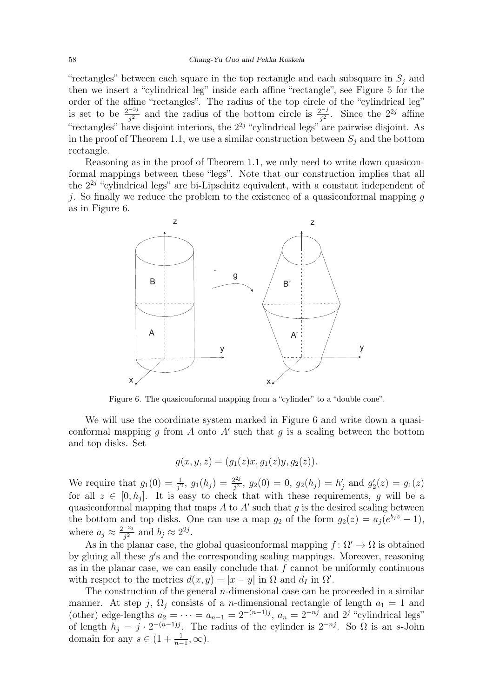"rectangles" between each square in the top rectangle and each subsquare in  $S_j$  and then we insert a "cylindrical leg" inside each affine "rectangle", see Figure 5 for the order of the affine "rectangles". The radius of the top circle of the "cylindrical leg" is set to be  $\frac{2^{-3j}}{j^2}$  and the radius of the bottom circle is  $\frac{2^{-j}}{j^2}$ . Since the  $2^{2j}$  affine "rectangles" have disjoint interiors, the  $2^{2j}$  "cylindrical legs" are pairwise disjoint. As in the proof of Theorem 1.1, we use a similar construction between  $S_i$  and the bottom rectangle.

Reasoning as in the proof of Theorem 1.1, we only need to write down quasiconformal mappings between these "legs". Note that our construction implies that all the  $2^{2j}$  "cylindrical legs" are bi-Lipschitz equivalent, with a constant independent of *j*. So finally we reduce the problem to the existence of a quasiconformal mapping q as in Figure 6.



Figure 6. The quasiconformal mapping from a "cylinder" to a "double cone".

We will use the coordinate system marked in Figure 6 and write down a quasiconformal mapping g from A onto A' such that g is a scaling between the bottom and top disks. Set

$$
g(x, y, z) = (g_1(z)x, g_1(z)y, g_2(z)).
$$

We require that  $g_1(0) = \frac{1}{j^2}$ ,  $g_1(h_j) = \frac{2^{2j}}{j^2}$  $g_2^{2j},\;g_2(0)=0,\;g_2(h_j)=h_j'$  $'_{j}$  and  $g'_{2}$  $g_2'(z) = g_1(z)$ for all  $z \in [0, h_j]$ . It is easy to check that with these requirements, g will be a quasiconformal mapping that maps A to A' such that g is the desired scaling between the bottom and top disks. One can use a map  $g_2$  of the form  $g_2(z) = a_j (e^{b_j z} - 1)$ , where  $a_j \approx \frac{2^{-2j}}{i^2}$  $\frac{-2j}{j^2}$  and  $b_j \approx 2^{2j}$ .

As in the planar case, the global quasiconformal mapping  $f: \Omega' \to \Omega$  is obtained by gluing all these g's and the corresponding scaling mappings. Moreover, reasoning as in the planar case, we can easily conclude that  $f$  cannot be uniformly continuous with respect to the metrics  $d(x, y) = |x - y|$  in  $\Omega$  and  $d_I$  in  $\Omega'$ .

The construction of the general *n*-dimensional case can be proceeded in a similar manner. At step j,  $\Omega_i$  consists of a *n*-dimensional rectangle of length  $a_1 = 1$  and (other) edge-lengths  $a_2 = \cdots = a_{n-1} = 2^{-(n-1)j}$ ,  $a_n = 2^{-nj}$  and  $2^{j}$  "cylindrical legs" of length  $h_j = j \cdot 2^{-(n-1)j}$ . The radius of the cylinder is  $2^{-nj}$ . So  $\Omega$  is an s-John domain for any  $s \in (1 + \frac{1}{n-1}, \infty)$ .